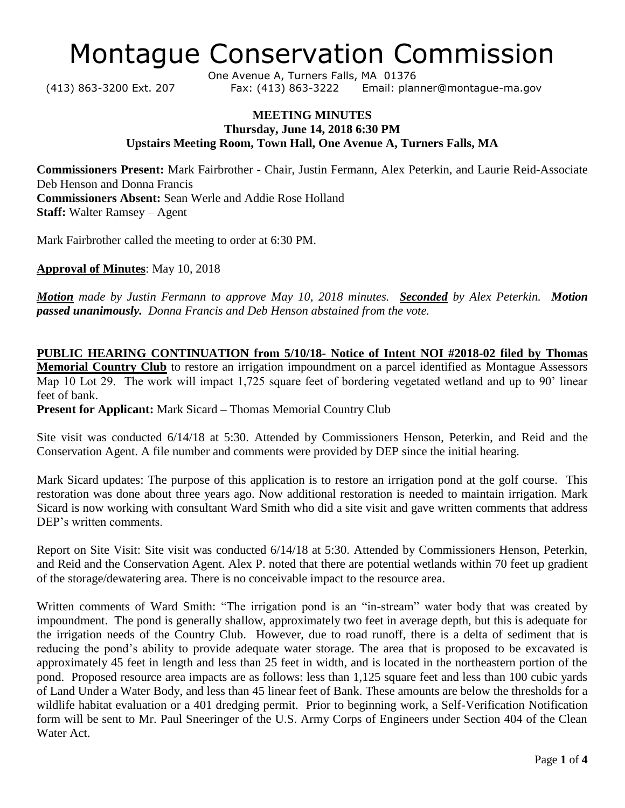## Montague Conservation Commission

One Avenue A, Turners Falls, MA 01376 (413) 863-3200 Ext. 207 Fax: (413) 863-3222 Email: planner@montague-ma.gov

## **MEETING MINUTES Thursday, June 14, 2018 6:30 PM Upstairs Meeting Room, Town Hall, One Avenue A, Turners Falls, MA**

**Commissioners Present:** Mark Fairbrother - Chair, Justin Fermann, Alex Peterkin, and Laurie Reid-Associate Deb Henson and Donna Francis **Commissioners Absent:** Sean Werle and Addie Rose Holland **Staff:** Walter Ramsey – Agent

Mark Fairbrother called the meeting to order at 6:30 PM.

**Approval of Minutes**: May 10, 2018

*Motion made by Justin Fermann to approve May 10, 2018 minutes. Seconded by Alex Peterkin. Motion passed unanimously. Donna Francis and Deb Henson abstained from the vote.*

**PUBLIC HEARING CONTINUATION from 5/10/18- Notice of Intent NOI #2018-02 filed by Thomas Memorial Country Club** to restore an irrigation impoundment on a parcel identified as Montague Assessors Map 10 Lot 29. The work will impact 1,725 square feet of bordering vegetated wetland and up to 90' linear feet of bank.

**Present for Applicant:** Mark Sicard **–** Thomas Memorial Country Club

Site visit was conducted 6/14/18 at 5:30. Attended by Commissioners Henson, Peterkin, and Reid and the Conservation Agent. A file number and comments were provided by DEP since the initial hearing.

Mark Sicard updates: The purpose of this application is to restore an irrigation pond at the golf course. This restoration was done about three years ago. Now additional restoration is needed to maintain irrigation. Mark Sicard is now working with consultant Ward Smith who did a site visit and gave written comments that address DEP's written comments.

Report on Site Visit: Site visit was conducted 6/14/18 at 5:30. Attended by Commissioners Henson, Peterkin, and Reid and the Conservation Agent. Alex P. noted that there are potential wetlands within 70 feet up gradient of the storage/dewatering area. There is no conceivable impact to the resource area.

Written comments of Ward Smith: "The irrigation pond is an "in-stream" water body that was created by impoundment. The pond is generally shallow, approximately two feet in average depth, but this is adequate for the irrigation needs of the Country Club. However, due to road runoff, there is a delta of sediment that is reducing the pond's ability to provide adequate water storage. The area that is proposed to be excavated is approximately 45 feet in length and less than 25 feet in width, and is located in the northeastern portion of the pond. Proposed resource area impacts are as follows: less than 1,125 square feet and less than 100 cubic yards of Land Under a Water Body, and less than 45 linear feet of Bank. These amounts are below the thresholds for a wildlife habitat evaluation or a 401 dredging permit. Prior to beginning work, a Self-Verification Notification form will be sent to Mr. Paul Sneeringer of the U.S. Army Corps of Engineers under Section 404 of the Clean Water Act.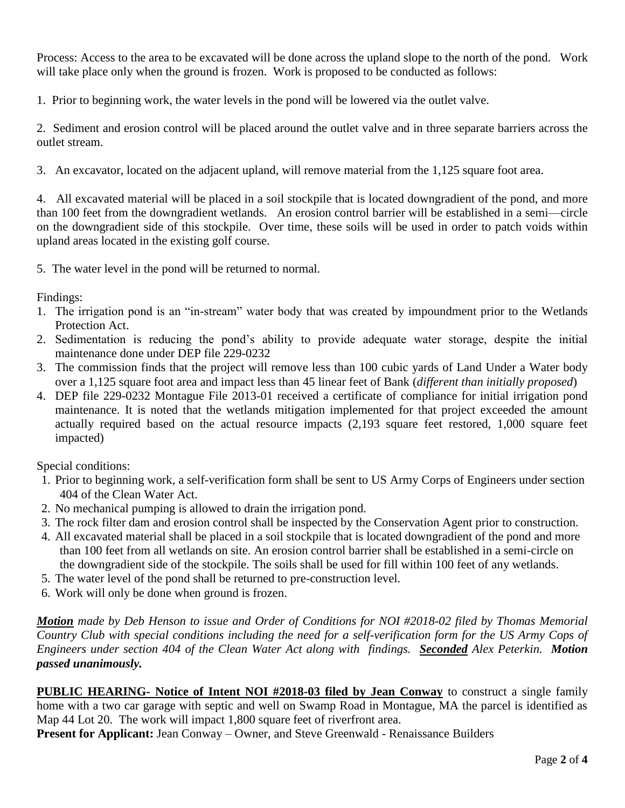Process: Access to the area to be excavated will be done across the upland slope to the north of the pond. Work will take place only when the ground is frozen. Work is proposed to be conducted as follows:

1. Prior to beginning work, the water levels in the pond will be lowered via the outlet valve.

2. Sediment and erosion control will be placed around the outlet valve and in three separate barriers across the outlet stream.

3. An excavator, located on the adjacent upland, will remove material from the 1,125 square foot area.

4. All excavated material will be placed in a soil stockpile that is located downgradient of the pond, and more than 100 feet from the downgradient wetlands. An erosion control barrier will be established in a semi—circle on the downgradient side of this stockpile. Over time, these soils will be used in order to patch voids within upland areas located in the existing golf course.

5. The water level in the pond will be returned to normal.

Findings:

- 1. The irrigation pond is an "in-stream" water body that was created by impoundment prior to the Wetlands Protection Act.
- 2. Sedimentation is reducing the pond's ability to provide adequate water storage, despite the initial maintenance done under DEP file 229-0232
- 3. The commission finds that the project will remove less than 100 cubic yards of Land Under a Water body over a 1,125 square foot area and impact less than 45 linear feet of Bank (*different than initially proposed*)
- 4. DEP file 229-0232 Montague File 2013-01 received a certificate of compliance for initial irrigation pond maintenance. It is noted that the wetlands mitigation implemented for that project exceeded the amount actually required based on the actual resource impacts (2,193 square feet restored, 1,000 square feet impacted)

Special conditions:

- 1. Prior to beginning work, a self-verification form shall be sent to US Army Corps of Engineers under section 404 of the Clean Water Act.
- 2. No mechanical pumping is allowed to drain the irrigation pond.
- 3. The rock filter dam and erosion control shall be inspected by the Conservation Agent prior to construction.
- 4. All excavated material shall be placed in a soil stockpile that is located downgradient of the pond and more than 100 feet from all wetlands on site. An erosion control barrier shall be established in a semi-circle on the downgradient side of the stockpile. The soils shall be used for fill within 100 feet of any wetlands.
- 5. The water level of the pond shall be returned to pre-construction level.
- 6. Work will only be done when ground is frozen.

*Motion made by Deb Henson to issue and Order of Conditions for NOI #2018-02 filed by Thomas Memorial Country Club with special conditions including the need for a self-verification form for the US Army Cops of Engineers under section 404 of the Clean Water Act along with findings. Seconded Alex Peterkin. Motion passed unanimously.* 

**PUBLIC HEARING- Notice of Intent NOI #2018-03 filed by Jean Conway** to construct a single family home with a two car garage with septic and well on Swamp Road in Montague, MA the parcel is identified as Map 44 Lot 20. The work will impact 1,800 square feet of riverfront area.

**Present for Applicant:** Jean Conway – Owner, and Steve Greenwald - Renaissance Builders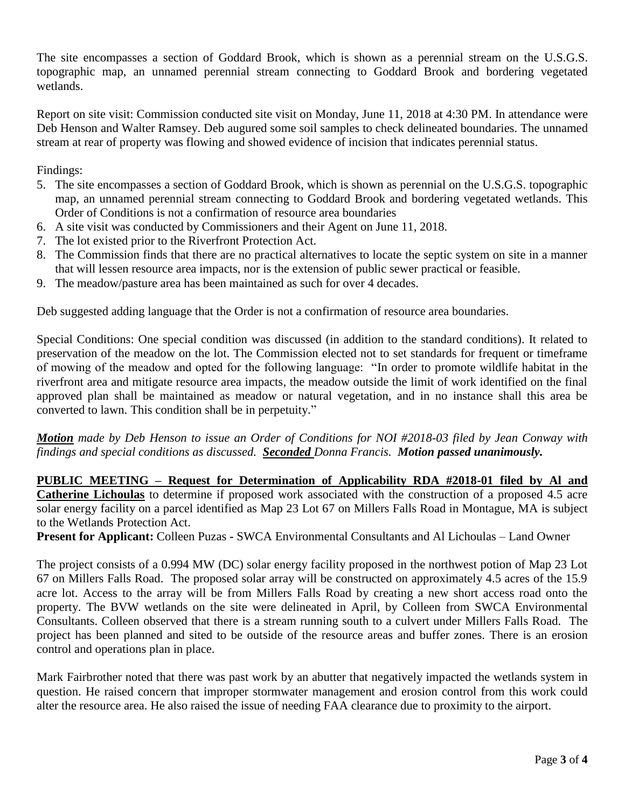The site encompasses a section of Goddard Brook, which is shown as a perennial stream on the U.S.G.S. topographic map, an unnamed perennial stream connecting to Goddard Brook and bordering vegetated wetlands.

Report on site visit: Commission conducted site visit on Monday, June 11, 2018 at 4:30 PM. In attendance were Deb Henson and Walter Ramsey. Deb augured some soil samples to check delineated boundaries. The unnamed stream at rear of property was flowing and showed evidence of incision that indicates perennial status.

Findings:

- 5. The site encompasses a section of Goddard Brook, which is shown as perennial on the U.S.G.S. topographic map, an unnamed perennial stream connecting to Goddard Brook and bordering vegetated wetlands. This Order of Conditions is not a confirmation of resource area boundaries
- 6. A site visit was conducted by Commissioners and their Agent on June 11, 2018.
- 7. The lot existed prior to the Riverfront Protection Act.
- 8. The Commission finds that there are no practical alternatives to locate the septic system on site in a manner that will lessen resource area impacts, nor is the extension of public sewer practical or feasible.
- 9. The meadow/pasture area has been maintained as such for over 4 decades.

Deb suggested adding language that the Order is not a confirmation of resource area boundaries.

Special Conditions: One special condition was discussed (in addition to the standard conditions). It related to preservation of the meadow on the lot. The Commission elected not to set standards for frequent or timeframe of mowing of the meadow and opted for the following language: "In order to promote wildlife habitat in the riverfront area and mitigate resource area impacts, the meadow outside the limit of work identified on the final approved plan shall be maintained as meadow or natural vegetation, and in no instance shall this area be converted to lawn. This condition shall be in perpetuity."

*Motion made by Deb Henson to issue an Order of Conditions for NOI #2018-03 filed by Jean Conway with findings and special conditions as discussed. Seconded Donna Francis. Motion passed unanimously.* 

**PUBLIC MEETING – Request for Determination of Applicability RDA #2018-01 filed by Al and Catherine Lichoulas** to determine if proposed work associated with the construction of a proposed 4.5 acre solar energy facility on a parcel identified as Map 23 Lot 67 on Millers Falls Road in Montague, MA is subject to the Wetlands Protection Act.

**Present for Applicant:** Colleen Puzas **-** SWCA Environmental Consultants and Al Lichoulas – Land Owner

The project consists of a 0.994 MW (DC) solar energy facility proposed in the northwest potion of Map 23 Lot 67 on Millers Falls Road. The proposed solar array will be constructed on approximately 4.5 acres of the 15.9 acre lot. Access to the array will be from Millers Falls Road by creating a new short access road onto the property. The BVW wetlands on the site were delineated in April, by Colleen from SWCA Environmental Consultants. Colleen observed that there is a stream running south to a culvert under Millers Falls Road. The project has been planned and sited to be outside of the resource areas and buffer zones. There is an erosion control and operations plan in place.

Mark Fairbrother noted that there was past work by an abutter that negatively impacted the wetlands system in question. He raised concern that improper stormwater management and erosion control from this work could alter the resource area. He also raised the issue of needing FAA clearance due to proximity to the airport.